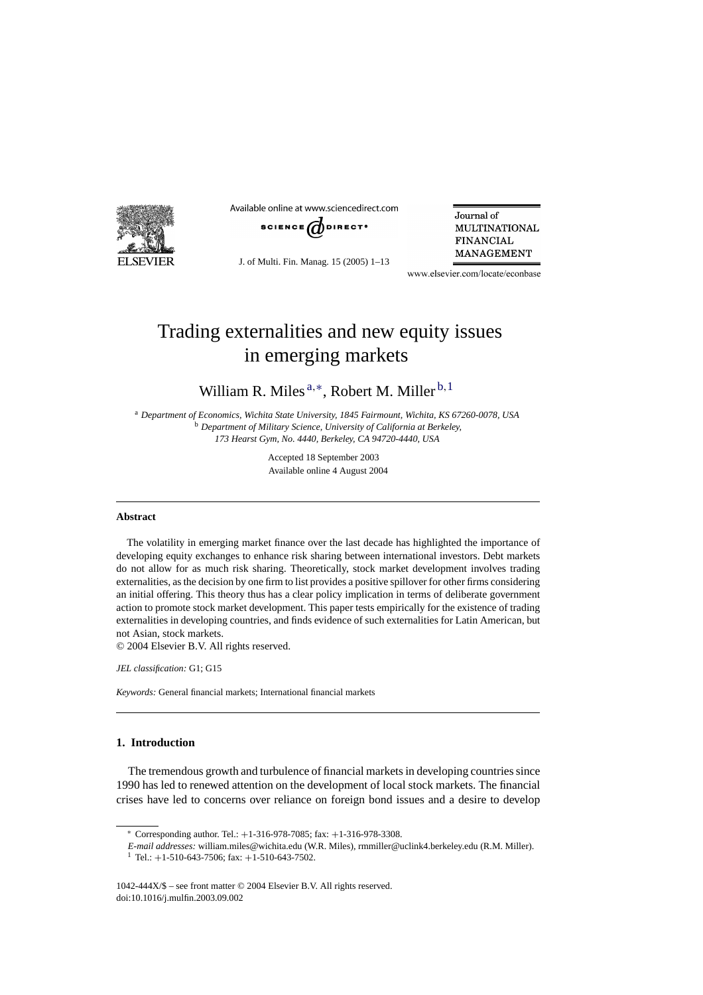

Available online at www.sciencedirect.com



J. of Multi. Fin. Manag. 15 (2005) 1–13

Journal of **MULTINATIONAL FINANCIAL** MANAGEMENT

www.elsevier.com/locate/econbase

## Trading externalities and new equity issues in emerging markets

William R. Miles  $a,*$ , Robert M. Miller  $b,1$ 

<sup>a</sup> *Department of Economics, Wichita State University, 1845 Fairmount, Wichita, KS 67260-0078, USA* <sup>b</sup> *Department of Military Science, University of California at Berkeley, 173 Hearst Gym, No. 4440, Berkeley, CA 94720-4440, USA*

> Accepted 18 September 2003 Available online 4 August 2004

#### **Abstract**

The volatility in emerging market finance over the last decade has highlighted the importance of developing equity exchanges to enhance risk sharing between international investors. Debt markets do not allow for as much risk sharing. Theoretically, stock market development involves trading externalities, as the decision by one firm to list provides a positive spillover for other firms considering an initial offering. This theory thus has a clear policy implication in terms of deliberate government action to promote stock market development. This paper tests empirically for the existence of trading externalities in developing countries, and finds evidence of such externalities for Latin American, but not Asian, stock markets.

© 2004 Elsevier B.V. All rights reserved.

*JEL classification:* G1; G15

*Keywords:* General financial markets; International financial markets

### **1. Introduction**

The tremendous growth and turbulence of financial markets in developing countries since 1990 has led to renewed attention on the development of local stock markets. The financial crises have led to concerns over reliance on foreign bond issues and a desire to develop

<sup>∗</sup> Corresponding author. Tel.: +1-316-978-7085; fax: +1-316-978-3308.

*E-mail addresses:* william.miles@wichita.edu (W.R. Miles), rmmiller@uclink4.berkeley.edu (R.M. Miller). <sup>1</sup> Tel.:  $+1-510-643-7506$ ; fax:  $+1-510-643-7502$ .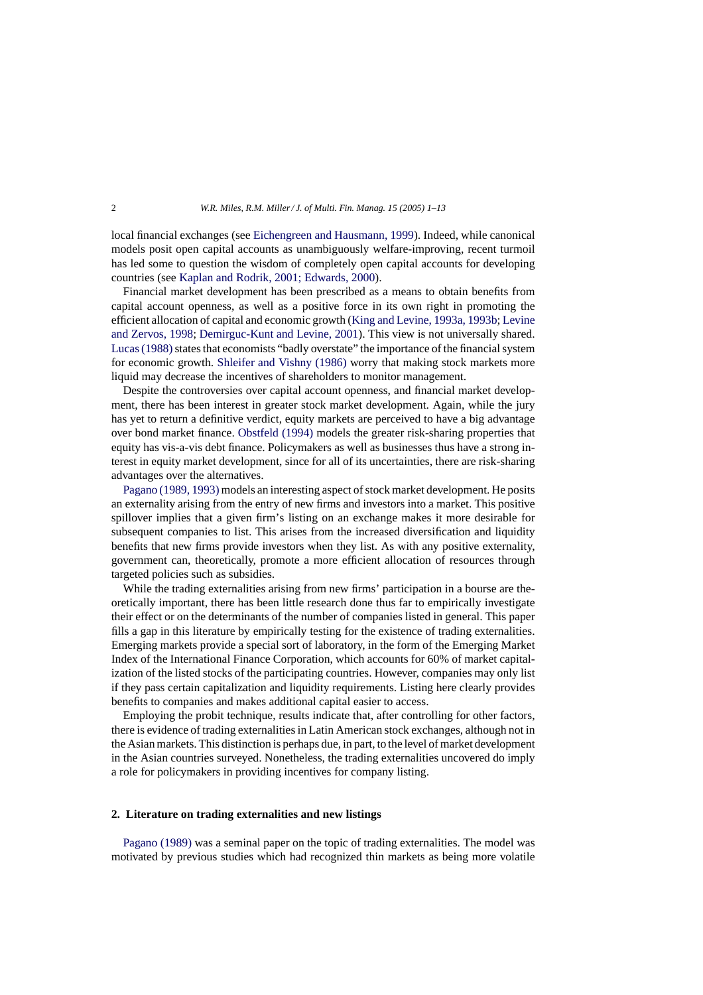local financial exchanges (see [Eichengreen and Hausmann, 1999\).](#page--1-0) Indeed, while canonical models posit open capital accounts as unambiguously welfare-improving, recent turmoil has led some to question the wisdom of completely open capital accounts for developing countries (see [Kaplan and Rodrik, 2001; Edwards, 2000\).](#page--1-0)

Financial market development has been prescribed as a means to obtain benefits from capital account openness, as well as a positive force in its own right in promoting the efficient allocation of capital and economic growth ([King and Levine, 1993a, 1993b;](#page--1-0) [Levine](#page--1-0) [and Zervos, 1998;](#page--1-0) [Demirguc-Kunt and Levine, 2001\).](#page--1-0) This view is not universally shared. Lucas (1988) states that economists "badly overstate" the importance of the financial system for economic growth. [Shleifer and Vishny \(1986\)](#page--1-0) worry that making stock markets more liquid may decrease the incentives of shareholders to monitor management.

Despite the controversies over capital account openness, and financial market development, there has been interest in greater stock market development. Again, while the jury has yet to return a definitive verdict, equity markets are perceived to have a big advantage over bond market finance. [Obstfeld \(1994\)](#page--1-0) models the greater risk-sharing properties that equity has vis-a-vis debt finance. Policymakers as well as businesses thus have a strong interest in equity market development, since for all of its uncertainties, there are risk-sharing advantages over the alternatives.

[Pagano \(1989, 1993\)](#page--1-0) models an interesting aspect of stock market development. He posits an externality arising from the entry of new firms and investors into a market. This positive spillover implies that a given firm's listing on an exchange makes it more desirable for subsequent companies to list. This arises from the increased diversification and liquidity benefits that new firms provide investors when they list. As with any positive externality, government can, theoretically, promote a more efficient allocation of resources through targeted policies such as subsidies.

While the trading externalities arising from new firms' participation in a bourse are theoretically important, there has been little research done thus far to empirically investigate their effect or on the determinants of the number of companies listed in general. This paper fills a gap in this literature by empirically testing for the existence of trading externalities. Emerging markets provide a special sort of laboratory, in the form of the Emerging Market Index of the International Finance Corporation, which accounts for 60% of market capitalization of the listed stocks of the participating countries. However, companies may only list if they pass certain capitalization and liquidity requirements. Listing here clearly provides benefits to companies and makes additional capital easier to access.

Employing the probit technique, results indicate that, after controlling for other factors, there is evidence of trading externalities in Latin American stock exchanges, although not in the Asian markets. This distinction is perhaps due, in part, to the level of market development in the Asian countries surveyed. Nonetheless, the trading externalities uncovered do imply a role for policymakers in providing incentives for company listing.

#### **2. Literature on trading externalities and new listings**

[Pagano \(1989\)](#page--1-0) was a seminal paper on the topic of trading externalities. The model was motivated by previous studies which had recognized thin markets as being more volatile